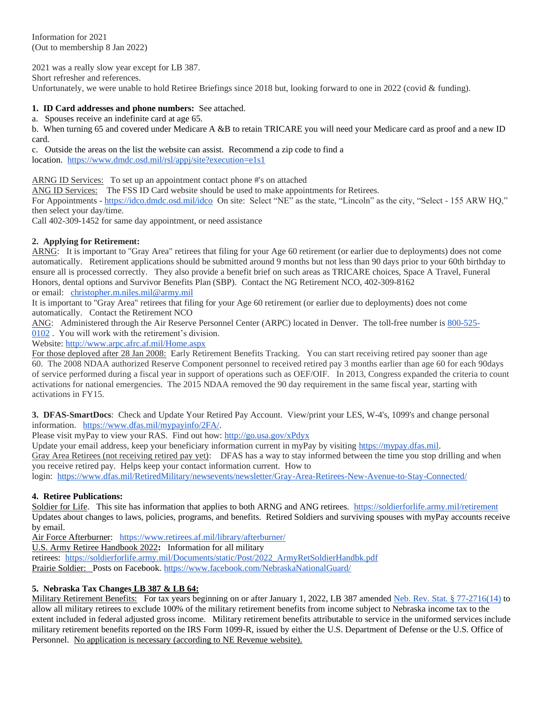Information for 2021 (Out to membership 8 Jan 2022)

2021 was a really slow year except for LB 387.

Short refresher and references.

Unfortunately, we were unable to hold Retiree Briefings since 2018 but, looking forward to one in 2022 (covid & funding).

#### **1. ID Card addresses and phone numbers:** See attached.

a. Spouses receive an indefinite card at age 65.

b. When turning 65 and covered under Medicare A &B to retain TRICARE you will need your Medicare card as proof and a new ID card.

c. Outside the areas on the list the website can assist. Recommend a zip code to find a location.<https://www.dmdc.osd.mil/rsl/appj/site?execution=e1s1>

ARNG ID Services: To set up an appointment contact phone #'s on attached

ANG ID Services: The FSS ID Card website should be used to make appointments for Retirees.

For Appointments - <https://idco.dmdc.osd.mil/idco>On site: Select "NE" as the state, "Lincoln" as the city, "Select - 155 ARW HQ," then select your day/time.

Call 402-309-1452 for same day appointment, or need assistance

#### **2. Applying for Retirement:**

ARNG: It is important to "Gray Area" retirees that filing for your Age 60 retirement (or earlier due to deployments) does not come automatically. Retirement applications should be submitted around 9 months but not less than 90 days prior to your 60th birthday to ensure all is processed correctly. They also provide a benefit brief on such areas as TRICARE choices, Space A Travel, Funeral Honors, dental options and Survivor Benefits Plan (SBP). Contact the NG Retirement NCO, 402-309-8162

or email: [christopher.m.niles.mil@army.mil](mailto:christopher.m.niles.mil@army.mil)

It is important to "Gray Area" retirees that filing for your Age 60 retirement (or earlier due to deployments) does not come automatically. Contact the Retirement NCO

ANG: Administered through the Air Reserve Personnel Center (ARPC) located in Denver. The toll-free number is [800-525-](tel:(800)%20525-0102) [0102](tel:(800)%20525-0102) . You will work with the retirement's division.

Website: <http://www.arpc.afrc.af.mil/Home.aspx>

For those deployed after 28 Jan 2008: Early Retirement Benefits Tracking. You can start receiving retired pay sooner than age 60. The 2008 NDAA authorized Reserve Component personnel to received retired pay 3 months earlier than age 60 for each 90days of service performed during a fiscal year in support of operations such as OEF/OIF. In 2013, Congress expanded the criteria to count activations for national emergencies. The 2015 NDAA removed the 90 day requirement in the same fiscal year, starting with activations in FY15.

**3. DFAS-SmartDocs**: Check and Update Your Retired Pay Account. View/print your LES, W-4's, 1099's and change personal information. [https://www.dfas.mil/mypayinfo/2FA/.](https://www.dfas.mil/mypayinfo/2FA/)

Please visit myPay to view your RAS. Find out how: <http://go.usa.gov/xPdyx>

Update your email address, keep your beneficiary information current in myPay by visiting [https://mypay.dfas.mil.](https://mypay.dfas.mil/) Gray Area Retirees (not receiving retired pay yet): DFAS has a way to stay informed between the time you stop drilling and when you receive retired pay. Helps keep your contact information current. How to

login: <https://www.dfas.mil/RetiredMilitary/newsevents/newsletter/Gray-Area-Retirees-New-Avenue-to-Stay-Connected/>

#### **4. Retiree Publications:**

Soldier for Life. This site has information that applies to both ARNG and ANG retirees.<https://soldierforlife.army.mil/retirement> Updates about changes to laws, policies, programs, and benefits. Retired Soldiers and surviving spouses with myPay accounts receive by email.

Air Force Afterburner: <https://www.retirees.af.mil/library/afterburner/>

U.S. Army Retiree Handbook 2022**:** Information for all military

retirees: [https://soldierforlife.army.mil/Documents/static/Post/2022\\_ArmyRetSoldierHandbk.pdf](https://soldierforlife.army.mil/Documents/static/Post/2022_ArmyRetSoldierHandbk.pdf) Prairie Soldier: Posts on Facebook. <https://www.facebook.com/NebraskaNationalGuard/>

# **5. Nebraska Tax Changes LB 387 & LB 64:**

Military Retirement Benefits: For tax years beginning on or after January 1, 2022, LB 387 amended [Neb. Rev. Stat. §](https://r20.rs6.net/tn.jsp?f=001r1ZMwuRs7UrMNEXTBPqVtnphcJ9t27Z-BTkeNp4wqEQFzSDcYachP7hswGd9sPWW3UHztP3WrsfJUA67F4UC4ZItlZKaWgkii_P9sP-rlHXCMje5q10H1a8u8mc6vLawST-JKpivo2LgqeM0EmB-1edi2ZrChRsoEMmNIeqys_jgA1CoW8VBpkr7PX8zn25VOiJGfVii7H3PRYxSjNTTsg==&c=5ccI54ViPeKVovn7AiQh9ZPgcckZOTyBGzyXBsy_8kaHPwchtbm7LQ==&ch=vdOENz3M22-0zDIyiDIXsf50Fhp3sznoSiAg9GHyNRj5vwtANNKNDw==) 77-2716(14) to allow all military retirees to exclude 100% of the military retirement benefits from income subject to Nebraska income tax to the extent included in federal adjusted gross income. Military retirement benefits attributable to service in the uniformed services include military retirement benefits reported on the IRS Form 1099-R, issued by either the U.S. Department of Defense or the U.S. Office of Personnel. No application is necessary (according to NE Revenue website).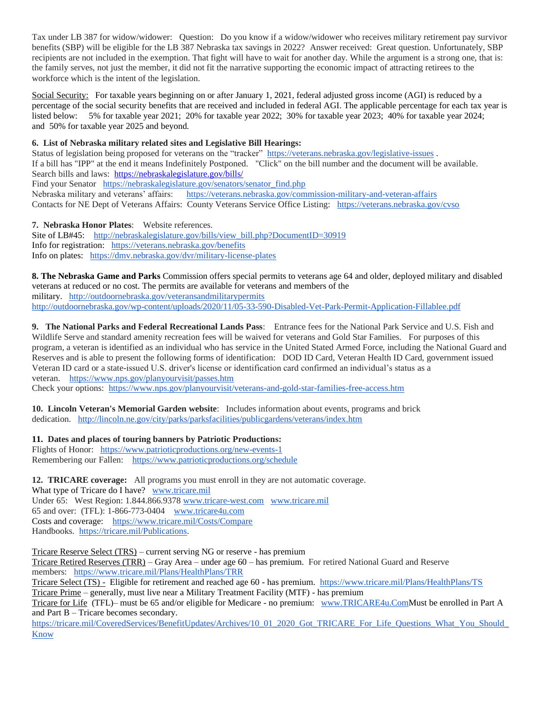Tax under LB 387 for widow/widower: Question: Do you know if a widow/widower who receives military retirement pay survivor benefits (SBP) will be eligible for the LB 387 Nebraska tax savings in 2022? Answer received: Great question. Unfortunately, SBP recipients are not included in the exemption. That fight will have to wait for another day. While the argument is a strong one, that is: the family serves, not just the member, it did not fit the narrative supporting the economic impact of attracting retirees to the workforce which is the intent of the legislation.

Social Security: For taxable years beginning on or after January 1, 2021, federal adjusted gross income (AGI) is reduced by a percentage of the social security benefits that are received and included in federal AGI. The applicable percentage for each tax year is listed below: 5% for taxable year 2021; 20% for taxable year 2022; 30% for taxable year 2023; 40% for taxable year 2024; and 50% for taxable year 2025 and beyond.

# **6. List of Nebraska military related sites and Legislative Bill Hearings:**

Status of legislation being proposed for veterans on the "tracker"<https://veterans.nebraska.gov/legislative-issues> . If a bill has "IPP" at the end it means Indefinitely Postponed. "Click" on the bill number and the document will be available. Search bills and laws:<https://nebraskalegislature.gov/bills/> Find your Senator https://nebraskalegislature.gov/senators/senator find.php Nebraska military and veterans' affairs: <https://veterans.nebraska.gov/commission-military-and-veteran-affairs> Contacts for NE Dept of Veterans Affairs: County Veterans Service Office Listing: <https://veterans.nebraska.gov/cvso>

**7. Nebraska Honor Plates**: Website references. Site of LB#45: [http://nebraskalegislature.gov/bills/view\\_bill.php?DocumentID=30919](http://nebraskalegislature.gov/bills/view_bill.php?DocumentID=30919) Info for registration: <https://veterans.nebraska.gov/benefits> Info on plates: <https://dmv.nebraska.gov/dvr/military-license-plates>

**8. The Nebraska Game and Parks** Commission offers special permits to veterans age 64 and older, deployed military and disabled veterans at reduced or no cost. The permits are available for veterans and members of the military. <http://outdoornebraska.gov/veteransandmilitarypermits> <http://outdoornebraska.gov/wp-content/uploads/2020/11/05-33-590-Disabled-Vet-Park-Permit-Application-Fillablee.pdf>

**9. The National Parks and Federal Recreational Lands Pass**: Entrance fees for the National Park Service and U.S. Fish and Wildlife Serve and standard amenity recreation fees will be waived for veterans and Gold Star Families. For purposes of this program, a veteran is identified as an individual who has service in the United Stated Armed Force, including the National Guard and Reserves and is able to present the following forms of identification: DOD ID Card, Veteran Health ID Card, government issued Veteran ID card or a state-issued U.S. driver's license or identification card confirmed an individual's status as a veteran. <https://www.nps.gov/planyourvisit/passes.htm>

Check your options: <https://www.nps.gov/planyourvisit/veterans-and-gold-star-families-free-access.htm>

**10. Lincoln Veteran's Memorial Garden website**: Includes information about events, programs and brick dedication. <http://lincoln.ne.gov/city/parks/parksfacilities/publicgardens/veterans/index.htm>

**11. Dates and places of touring banners by Patriotic Productions:**

Flights of Honor: <https://www.patrioticproductions.org/new-events-1> Remembering our Fallen:<https://www.patrioticproductions.org/schedule>

**12. TRICARE coverage:** All programs you must enroll in they are not automatic coverage. What type of Tricare do I have? [www.tricare.mil](http://www.tricare.mil/) Under 65: West Region: 1.844.866.9378 [www.tricare-west.com](http://www.tricare-west.com/) [www.tricare.mil](http://www.tricare.mil/) 65 and over: (TFL): 1-866-773-0404 [www.tricare4u.com](http://www.tricare4u.com/) Costs and coverage: <https://www.tricare.mil/Costs/Compare> Handbooks. [https://tricare.mil/Publications.](https://tricare.mil/Publications)

Tricare Reserve Select (TRS) – current serving NG or reserve - has premium

Tricare Retired Reserves (TRR) – Gray Area – under age 60 – has premium. For retired National Guard and Reserve members: <https://www.tricare.mil/Plans/HealthPlans/TRR>

Tricare Select (TS) - Eligible for retirement and reached age 60 - has premium. <https://www.tricare.mil/Plans/HealthPlans/TS> Tricare Prime – generally, must live near a Military Treatment Facility (MTF) - has premium

Tricare for Life (TFL)– must be 65 and/or eligible for Medicare - no premium: [www.TRICARE4u.ComM](http://www.tricare4u.com/)ust be enrolled in Part A and Part B – Tricare becomes secondary.

https://tricare.mil/CoveredServices/BenefitUpdates/Archives/10\_01\_2020\_Got\_TRICARE\_For\_Life\_Questions\_What\_You\_Should [Know](https://tricare.mil/CoveredServices/BenefitUpdates/Archives/10_01_2020_Got_TRICARE_For_Life_Questions_What_You_Should_Know)